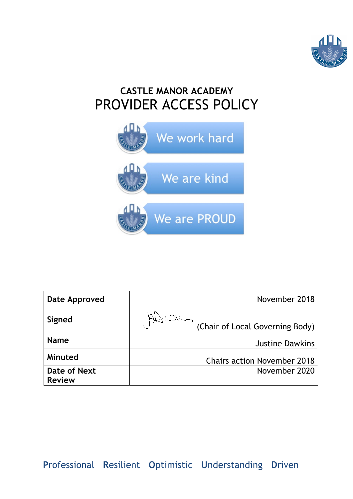

# **CASTLE MANOR ACADEMY** PROVIDER ACCESS POLICY



| Date Approved                        |           | November 2018                      |
|--------------------------------------|-----------|------------------------------------|
| Signed                               | Attending | (Chair of Local Governing Body)    |
| <b>Name</b>                          |           | <b>Justine Dawkins</b>             |
| Minuted                              |           | <b>Chairs action November 2018</b> |
| <b>Date of Next</b><br><b>Review</b> |           | November 2020                      |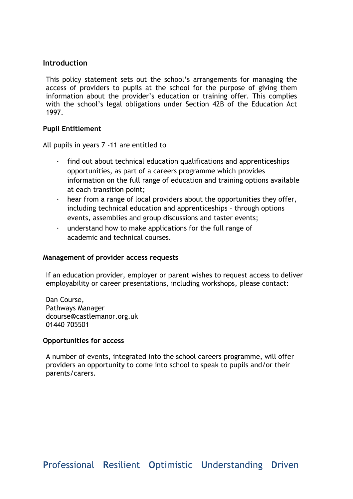# **Introduction**

This policy statement sets out the school's arrangements for managing the access of providers to pupils at the school for the purpose of giving them information about the provider's education or training offer. This complies with the school's legal obligations under Section 42B of the Education Act 1997.

## **Pupil Entitlement**

All pupils in years 7 -11 are entitled to

- · find out about technical education qualifications and apprenticeships opportunities, as part of a careers programme which provides information on the full range of education and training options available at each transition point;
- hear from a range of local providers about the opportunities they offer, including technical education and apprenticeships – through options events, assemblies and group discussions and taster events;
- $\cdot$  understand how to make applications for the full range of academic and technical courses.

## **Management of provider access requests**

If an education provider, employer or parent wishes to request access to deliver employability or career presentations, including workshops, please contact:

Dan Course, Pathways Manager dcourse@castlemanor.org.uk 01440 705501

## **Opportunities for access**

A number of events, integrated into the school careers programme, will offer providers an opportunity to come into school to speak to pupils and/or their parents/carers.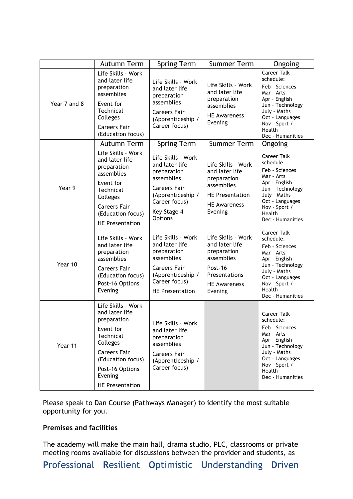|              | Autumn Term                                                                                                                                                                                   | <b>Spring Term</b>                                                                                                             | <b>Summer Term</b>                                                                                                            | Ongoing                                                                                                                                                                                |
|--------------|-----------------------------------------------------------------------------------------------------------------------------------------------------------------------------------------------|--------------------------------------------------------------------------------------------------------------------------------|-------------------------------------------------------------------------------------------------------------------------------|----------------------------------------------------------------------------------------------------------------------------------------------------------------------------------------|
| Year 7 and 8 | Life Skills - Work<br>and later life<br>preparation<br>assemblies<br>Event for<br>Technical<br>Colleges<br><b>Careers Fair</b><br>(Education focus)                                           | Life Skills - Work<br>and later life<br>preparation<br>assemblies<br><b>Careers Fair</b><br>(Apprenticeship /<br>Career focus) | Life Skills - Work<br>and later life<br>preparation<br>assemblies<br><b>HE Awareness</b><br>Evening                           | <b>Career Talk</b><br>schedule:<br>Feb - Sciences<br>Mar - Arts<br>Apr - English<br>Jun - Technology<br>July - Maths<br>Oct - Languages<br>Nov - Sport /<br>Health<br>Dec - Humanities |
|              | Autumn Term                                                                                                                                                                                   | <b>Spring Term</b>                                                                                                             | <b>Summer Term</b>                                                                                                            | Ongoing                                                                                                                                                                                |
| Year 9       | Life Skills - Work<br>and later life<br>preparation<br>assemblies<br>Event for                                                                                                                | Life Skills - Work<br>and later life<br>preparation<br>assemblies                                                              | Life Skills - Work<br>and later life<br>preparation<br>assemblies<br><b>HE Presentation</b><br><b>HE Awareness</b><br>Evening | <b>Career Talk</b><br>schedule:<br>Feb - Sciences<br>Mar - Arts<br>Apr - English<br>Jun - Technology<br>July - Maths<br>Oct - Languages<br>Nov - Sport /<br>Health<br>Dec - Humanities |
|              | Technical<br>Colleges<br><b>Careers Fair</b><br>(Education focus)<br><b>HE Presentation</b>                                                                                                   | <b>Careers Fair</b><br>(Apprenticeship /<br>Career focus)<br>Key Stage 4<br>Options                                            |                                                                                                                               |                                                                                                                                                                                        |
| Year 10      | Life Skills - Work<br>and later life<br>preparation<br>assemblies                                                                                                                             | Life Skills - Work<br>and later life<br>preparation<br>assemblies                                                              | Life Skills - Work<br>and later life<br>preparation<br>assemblies                                                             | <b>Career Talk</b><br>schedule:<br>Feb - Sciences<br>Mar - Arts<br>Apr - English<br>Jun - Technology                                                                                   |
|              | <b>Careers Fair</b><br>(Education focus)<br>Post-16 Options<br>Evening                                                                                                                        | <b>Careers Fair</b><br>(Apprenticeship /<br>Career focus)<br><b>HE Presentation</b>                                            | Post-16<br>Presentations<br><b>HE Awareness</b><br>Evening                                                                    | July - Maths<br>Oct - Languages<br>Nov - Sport /<br>Health<br>Dec - Humanities                                                                                                         |
| Year 11      | Life Skills - Work<br>and later life<br>preparation<br>Event for<br>Technical<br>Colleges<br><b>Careers Fair</b><br>(Education focus)<br>Post-16 Options<br>Evening<br><b>HE Presentation</b> | Life Skills - Work<br>and later life<br>preparation<br>assemblies<br><b>Careers Fair</b><br>(Apprenticeship /<br>Career focus) |                                                                                                                               | Career Talk<br>schedule:<br>Feb - Sciences<br>Mar - Arts<br>Apr - English<br>Jun - Technology<br>July - Maths<br>Oct - Languages<br>Nov - Sport /<br>Health<br>Dec - Humanities        |

Please speak to Dan Course (Pathways Manager) to identify the most suitable opportunity for you.

## **Premises and facilities**

The academy will make the main hall, drama studio, PLC, classrooms or private meeting rooms available for discussions between the provider and students, as

**P**rofessional **R**esilient **O**ptimistic **U**nderstanding **D**riven